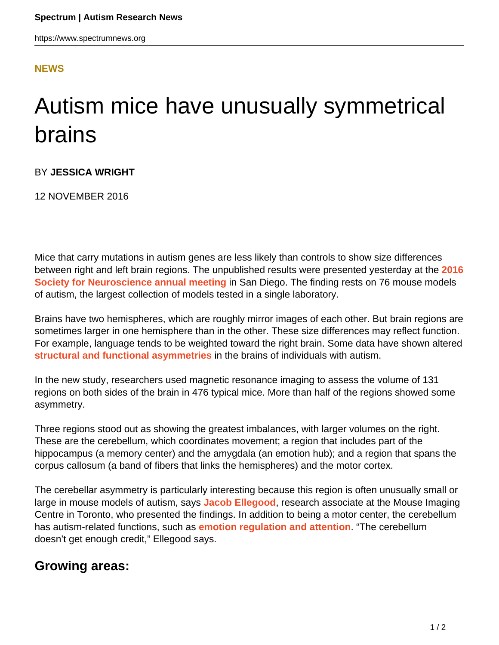## **[NEWS](HTTPS://WWW.SPECTRUMNEWS.ORG/NEWS/)**

## Autism mice have unusually symmetrical brains

BY **JESSICA WRIGHT**

12 NOVEMBER 2016

Mice that carry mutations in autism genes are less likely than controls to show size differences between right and left brain regions. The unpublished results were presented yesterday at the **[2016](https://www.spectrumnews.org/conference-news/society-neuroscience-2016/) [Society for Neuroscience annual meeting](https://www.spectrumnews.org/conference-news/society-neuroscience-2016/)** in San Diego. The finding rests on 76 mouse models of autism, the largest collection of models tested in a single laboratory.

Brains have two hemispheres, which are roughly mirror images of each other. But brain regions are sometimes larger in one hemisphere than in the other. These size differences may reflect function. For example, language tends to be weighted toward the right brain. Some data have shown altered **[structural and functional asymmetries](https://www.spectrumnews.org/news/cognition-and-behavior-symmetry-skewed-in-autism-brains/)** in the brains of individuals with autism.

In the new study, researchers used magnetic resonance imaging to assess the volume of 131 regions on both sides of the brain in 476 typical mice. More than half of the regions showed some asymmetry.

Three regions stood out as showing the greatest imbalances, with larger volumes on the right. These are the cerebellum, which coordinates movement; a region that includes part of the hippocampus (a memory center) and the amygdala (an emotion hub); and a region that spans the corpus callosum (a band of fibers that links the hemispheres) and the motor cortex.

The cerebellar asymmetry is particularly interesting because this region is often unusually small or large in mouse models of autism, says **[Jacob Ellegood](https://www.spectrumnews.org/news/profiles/meet-dynamic-duo-scanning-every-autism-mouse-brain/)**, research associate at the Mouse Imaging Centre in Toronto, who presented the findings. In addition to being a motor center, the cerebellum has autism-related functions, such as **[emotion regulation and attention](https://www.spectrumnews.org/news/mounting-evidence-implicates-cerebellum-in-autism/)**. "The cerebellum doesn't get enough credit," Ellegood says.

## **Growing areas:**